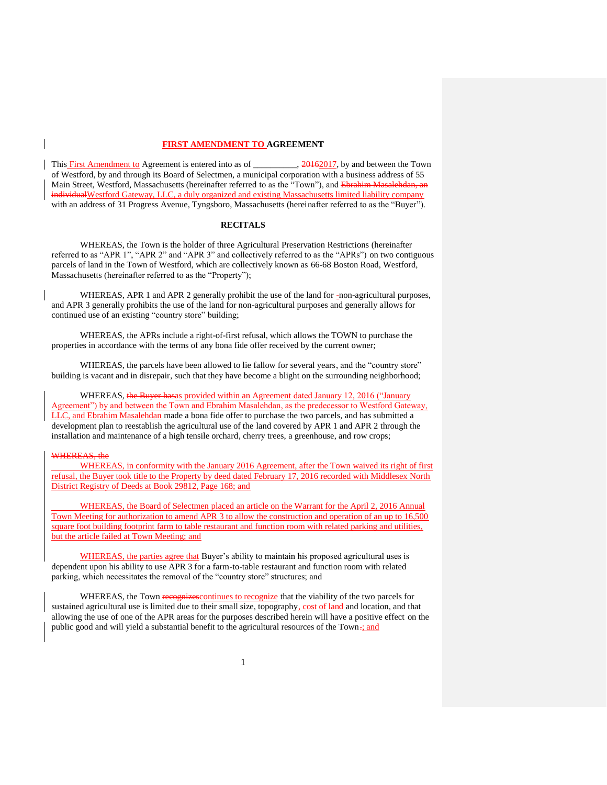## **FIRST AMENDMENT TO AGREEMENT**

This First Amendment to Agreement is entered into as of \_\_\_\_\_\_\_\_\_, 20162017, by and between the Town of Westford, by and through its Board of Selectmen, a municipal corporation with a business address of 55 Main Street, Westford, Massachusetts (hereinafter referred to as the "Town"), and Ebr individualWestford Gateway, LLC, a duly organized and existing Massachusetts limited liability company with an address of 31 Progress Avenue, Tyngsboro, Massachusetts (hereinafter referred to as the "Buyer").

## **RECITALS**

WHEREAS, the Town is the holder of three Agricultural Preservation Restrictions (hereinafter referred to as "APR 1", "APR 2" and "APR 3" and collectively referred to as the "APRs") on two contiguous parcels of land in the Town of Westford, which are collectively known as 66-68 Boston Road, Westford, Massachusetts (hereinafter referred to as the "Property");

WHEREAS, APR 1 and APR 2 generally prohibit the use of the land for -non-agricultural purposes, and APR 3 generally prohibits the use of the land for non-agricultural purposes and generally allows for continued use of an existing "country store" building;

WHEREAS, the APRs include a right-of-first refusal, which allows the TOWN to purchase the properties in accordance with the terms of any bona fide offer received by the current owner;

WHEREAS, the parcels have been allowed to lie fallow for several years, and the "country store" building is vacant and in disrepair, such that they have become a blight on the surrounding neighborhood;

WHEREAS, the Buyer has as provided within an Agreement dated January 12, 2016 ("January") Agreement") by and between the Town and Ebrahim Masalehdan, as the predecessor to Westford Gateway, LLC, and Ebrahim Masalehdan made a bona fide offer to purchase the two parcels, and has submitted a development plan to reestablish the agricultural use of the land covered by APR 1 and APR 2 through the installation and maintenance of a high tensile orchard, cherry trees, a greenhouse, and row crops;

## WHEREAS, the

WHEREAS, in conformity with the January 2016 Agreement, after the Town waived its right of first refusal, the Buyer took title to the Property by deed dated February 17, 2016 recorded with Middlesex North District Registry of Deeds at Book 29812, Page 168; and

WHEREAS, the Board of Selectmen placed an article on the Warrant for the April 2, 2016 Annual Town Meeting for authorization to amend APR 3 to allow the construction and operation of an up to 16,500 square foot building footprint farm to table restaurant and function room with related parking and utilities, but the article failed at Town Meeting; and

WHEREAS, the parties agree that Buyer's ability to maintain his proposed agricultural uses is dependent upon his ability to use APR 3 for a farm-to-table restaurant and function room with related parking, which necessitates the removal of the "country store" structures; and

WHEREAS, the Town recognizes continues to recognize that the viability of the two parcels for sustained agricultural use is limited due to their small size, topography, cost of land and location, and that allowing the use of one of the APR areas for the purposes described herein will have a positive effect on the public good and will yield a substantial benefit to the agricultural resources of the Town-; and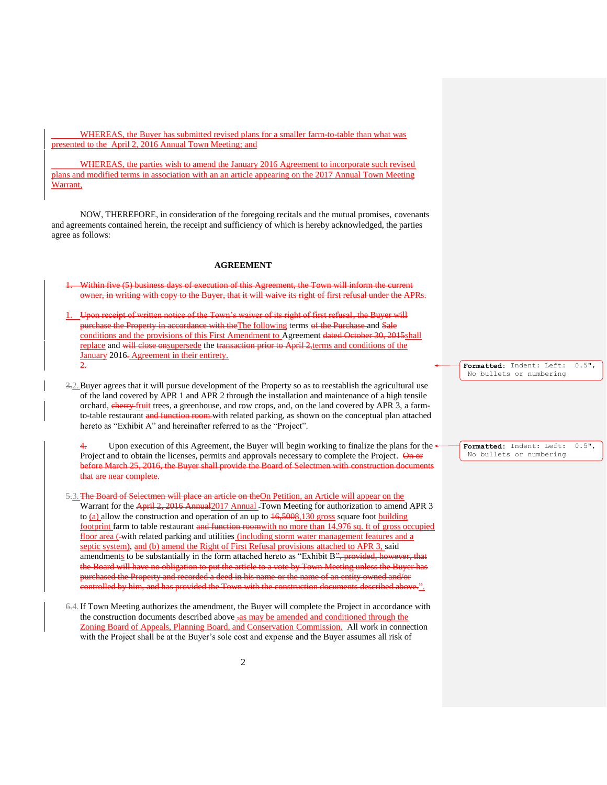WHEREAS, the Buyer has submitted revised plans for a smaller farm-to-table than what was presented to the April 2, 2016 Annual Town Meeting; and

WHEREAS, the parties wish to amend the January 2016 Agreement to incorporate such revised plans and modified terms in association with an an article appearing on the 2017 Annual Town Meeting Warrant,

NOW, THEREFORE, in consideration of the foregoing recitals and the mutual promises, covenants and agreements contained herein, the receipt and sufficiency of which is hereby acknowledged, the parties agree as follows:

## **AGREEMENT**

Within five (5) business days of execution of this Agreement, the Town will inform the current owner, in writing with copy to the Buyer, that it will waive its right of first refusal under the APRs. 1. Upon receipt of written notice of the Town's waiver of its right of first refusal, the Buyer will purchase the Property in accordance with the The following terms of the Purchase and Sale

conditions and the provisions of this First Amendment to Agreement dated October 30, 2015shall replace and will close onsupersede the transaction prior to April 2,terms and conditions of the January 2016. Agreement in their entirety.  $\overline{2}$ .

3.2.Buyer agrees that it will pursue development of the Property so as to reestablish the agricultural use of the land covered by APR 1 and APR 2 through the installation and maintenance of a high tensile orchard, **cherry-fruit** trees, a greenhouse, and row crops, and, on the land covered by APR 3, a farmto-table restaurant and function room with related parking, as shown on the conceptual plan attached hereto as "Exhibit A" and hereinafter referred to as the "Project".

4. Upon execution of this Agreement, the Buyer will begin working to finalize the plans for the Project and to obtain the licenses, permits and approvals necessary to complete the Project. On or before March 25, 2016, the Buyer shall provide the Board of Selectmen with construction documents that are near complete.

5.3. The Board of Selectmen will place an article on the On Petition, an Article will appear on the Warrant for the April 2, 2016 Annual 2017 Annual Town Meeting for authorization to amend APR 3 to (a) allow the construction and operation of an up to  $\frac{16,5008,130}{10,5008}$  square foot building footprint farm to table restaurant and function roomwith no more than 14,976 sq. ft of gross occupied floor area ( with related parking and utilities (including storm water management features and a septic system), and (b) amend the Right of First Refusal provisions attached to APR 3, said amendments to be substantially in the form attached hereto as "Exhibit B", provided, however, that the Board will have no obligation to put the article to a vote by Town Meeting unless the Buyer has purchased the Property and recorded a deed in his name or the name of an entity owned and/or controlled by him, and has provided the Town with the construction documents described above.".

6.4.If Town Meeting authorizes the amendment, the Buyer will complete the Project in accordance with the construction documents described above  $-a$ s may be amended and conditioned through the Zoning Board of Appeals, Planning Board, and Conservation Commission. All work in connection with the Project shall be at the Buyer's sole cost and expense and the Buyer assumes all risk of

**Formatted:** Indent: Left: 0.5", No bullets or numbering

**Formatted:** Indent: Left: 0.5", No bullets or numbering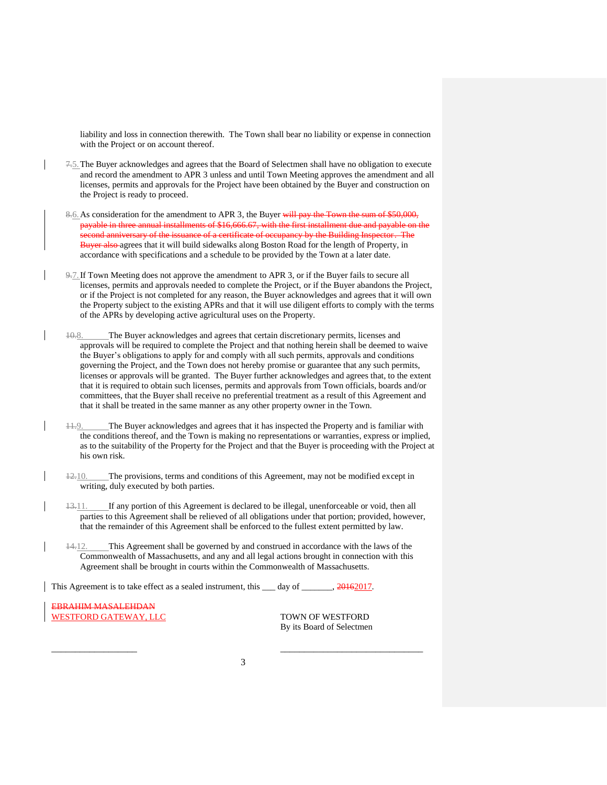liability and loss in connection therewith. The Town shall bear no liability or expense in connection with the Project or on account thereof.

- 7.5.The Buyer acknowledges and agrees that the Board of Selectmen shall have no obligation to execute and record the amendment to APR 3 unless and until Town Meeting approves the amendment and all licenses, permits and approvals for the Project have been obtained by the Buyer and construction on the Project is ready to proceed.
- 8.6. As consideration for the amendment to APR 3, the Buyer will pay the Town the sum of \$50,000, payable in three annual installments of \$16,666.67, with the first installment due and payable on the second anniversary of the issuance of a certificate of occupancy by the Building Inspector. The Buyer also agrees that it will build sidewalks along Boston Road for the length of Property, in accordance with specifications and a schedule to be provided by the Town at a later date.
- 9.7.If Town Meeting does not approve the amendment to APR 3, or if the Buyer fails to secure all licenses, permits and approvals needed to complete the Project, or if the Buyer abandons the Project, or if the Project is not completed for any reason, the Buyer acknowledges and agrees that it will own the Property subject to the existing APRs and that it will use diligent efforts to comply with the terms of the APRs by developing active agricultural uses on the Property.
- The Buyer acknowledges and agrees that certain discretionary permits, licenses and approvals will be required to complete the Project and that nothing herein shall be deemed to waive the Buyer's obligations to apply for and comply with all such permits, approvals and conditions governing the Project, and the Town does not hereby promise or guarantee that any such permits, licenses or approvals will be granted. The Buyer further acknowledges and agrees that, to the extent that it is required to obtain such licenses, permits and approvals from Town officials, boards and/or committees, that the Buyer shall receive no preferential treatment as a result of this Agreement and that it shall be treated in the same manner as any other property owner in the Town.
- 11.9. The Buyer acknowledges and agrees that it has inspected the Property and is familiar with the conditions thereof, and the Town is making no representations or warranties, express or implied, as to the suitability of the Property for the Project and that the Buyer is proceeding with the Project at his own risk.
- $\frac{12.10}{12.10}$ . The provisions, terms and conditions of this Agreement, may not be modified except in writing, duly executed by both parties.
- $13.11.$  If any portion of this Agreement is declared to be illegal, unenforceable or void, then all parties to this Agreement shall be relieved of all obligations under that portion; provided, however, that the remainder of this Agreement shall be enforced to the fullest extent permitted by law.
- 14.12. This Agreement shall be governed by and construed in accordance with the laws of the Commonwealth of Massachusetts, and any and all legal actions brought in connection with this Agreement shall be brought in courts within the Commonwealth of Massachusetts.

This Agreement is to take effect as a sealed instrument, this \_\_\_ day of \_\_\_\_\_\_, 20162017.

EBRAHIM MASALEHDAN WESTFORD GATEWAY, LLC TOWN OF WESTFORD

By its Board of Selectmen

\_\_\_\_\_\_\_\_\_\_\_\_\_\_\_\_\_\_ \_\_\_\_\_\_\_\_\_\_\_\_\_\_\_\_\_\_\_\_\_\_\_\_\_\_\_\_\_\_